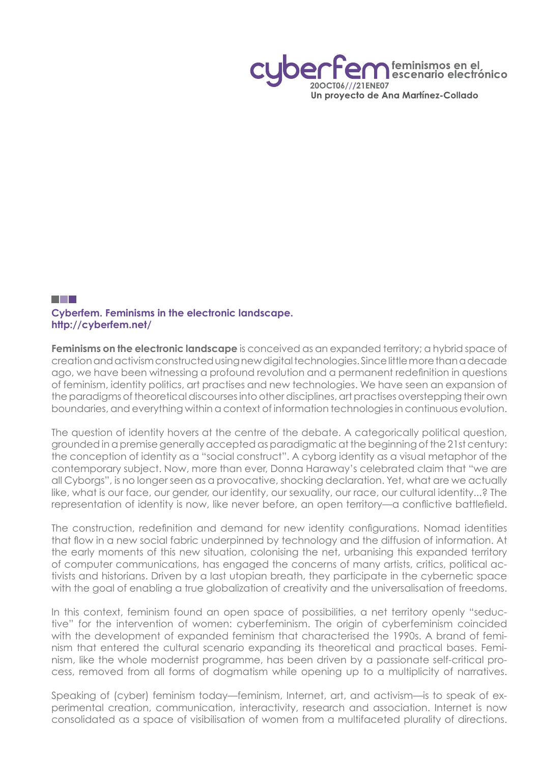feminismos en el cenario electrónico 20OCT06///21ENE07 Un proyecto de Ana Martínez-Collado

## <u>ra ma</u> **Cyberfem. Feminisms in the electronic landscape. http://cyberfem.net/**

**Feminisms on the electronic landscape** is conceived as an expanded territory; a hybrid space of creation and activism constructed using new digital technologies. Since little more than a decade ago, we have been witnessing a profound revolution and a permanent redefinition in questions of feminism, identity politics, art practises and new technologies. We have seen an expansion of the paradigms of theoretical discourses into other disciplines, art practises overstepping their own boundaries, and everything within a context of information technologies in continuous evolution.

The question of identity hovers at the centre of the debate. A categorically political question, grounded in a premise generally accepted as paradigmatic at the beginning of the 21st century: the conception of identity as a "social construct". A cyborg identity as a visual metaphor of the contemporary subject. Now, more than ever, Donna Haraway's celebrated claim that "we are all Cyborgs", is no longer seen as a provocative, shocking declaration. Yet, what are we actually like, what is our face, our gender, our identity, our sexuality, our race, our cultural identity...? The representation of identity is now, like never before, an open territory—a conflictive battlefield.

The construction, redefinition and demand for new identity configurations. Nomad identities that flow in a new social fabric underpinned by technology and the diffusion of information. At the early moments of this new situation, colonising the net, urbanising this expanded territory of computer communications, has engaged the concerns of many artists, critics, political activists and historians. Driven by a last utopian breath, they participate in the cybernetic space with the goal of enabling a true globalization of creativity and the universalisation of freedoms.

In this context, feminism found an open space of possibilities, a net territory openly "seductive" for the intervention of women: cyberfeminism. The origin of cyberfeminism coincided with the development of expanded feminism that characterised the 1990s. A brand of feminism that entered the cultural scenario expanding its theoretical and practical bases. Feminism, like the whole modernist programme, has been driven by a passionate self-critical process, removed from all forms of dogmatism while opening up to a multiplicity of narratives.

Speaking of (cyber) feminism today—feminism, Internet, art, and activism—is to speak of experimental creation, communication, interactivity, research and association. Internet is now consolidated as a space of visibilisation of women from a multifaceted plurality of directions.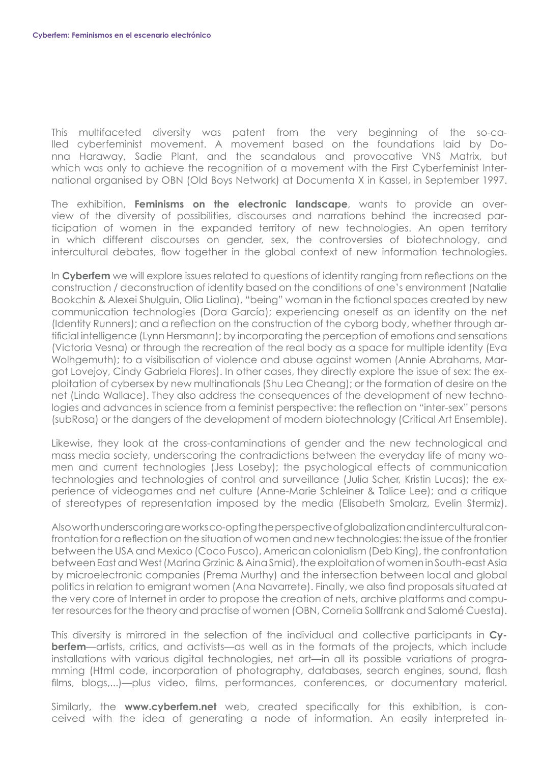This multifaceted diversity was patent from the very beginning of the so-called cyberfeminist movement. A movement based on the foundations laid by Donna Haraway, Sadie Plant, and the scandalous and provocative VNS Matrix, but which was only to achieve the recognition of a movement with the First Cyberfeminist International organised by OBN (Old Boys Network) at Documenta X in Kassel, in September 1997.

The exhibition, **Feminisms on the electronic landscape**, wants to provide an overview of the diversity of possibilities, discourses and narrations behind the increased participation of women in the expanded territory of new technologies. An open territory in which different discourses on gender, sex, the controversies of biotechnology, and intercultural debates, flow together in the global context of new information technologies.

In **Cyberfem** we will explore issues related to questions of identity ranging from reflections on the construction / deconstruction of identity based on the conditions of one's environment (Natalie Bookchin & Alexei Shulguin, Olia Lialina), "being" woman in the fictional spaces created by new communication technologies (Dora García); experiencing oneself as an identity on the net (Identity Runners); and a reflection on the construction of the cyborg body, whether through artificial intelligence (Lynn Hersmann); by incorporating the perception of emotions and sensations (Victoria Vesna) or through the recreation of the real body as a space for multiple identity (Eva Wolhgemuth); to a visibilisation of violence and abuse against women (Annie Abrahams, Margot Lovejoy, Cindy Gabriela Flores). In other cases, they directly explore the issue of sex: the exploitation of cybersex by new multinationals (Shu Lea Cheang); or the formation of desire on the net (Linda Wallace). They also address the consequences of the development of new technologies and advances in science from a feminist perspective: the reflection on "inter-sex" persons (subRosa) or the dangers of the development of modern biotechnology (Critical Art Ensemble).

Likewise, they look at the cross-contaminations of gender and the new technological and mass media society, underscoring the contradictions between the everyday life of many women and current technologies (Jess Loseby); the psychological effects of communication technologies and technologies of control and surveillance (Julia Scher, Kristin Lucas); the experience of videogames and net culture (Anne-Marie Schleiner & Talice Lee); and a critique of stereotypes of representation imposed by the media (Elisabeth Smolarz, Evelin Stermiz).

Also worth underscoring are works co-opting the perspective of globalization and intercultural confrontation for a reflection on the situation of women and new technologies: the issue of the frontier between the USA and Mexico (Coco Fusco), American colonialism (Deb King), the confrontation between East and West (Marina Grzinic & Aina Smid), the exploitation of women in South-east Asia by microelectronic companies (Prema Murthy) and the intersection between local and global politics in relation to emigrant women (Ana Navarrete). Finally, we also find proposals situated at the very core of Internet in order to propose the creation of nets, archive platforms and computer resources for the theory and practise of women (OBN, Cornelia Sollfrank and Salomé Cuesta).

This diversity is mirrored in the selection of the individual and collective participants in **Cyberfem**—artists, critics, and activists—as well as in the formats of the projects, which include installations with various digital technologies, net art—in all its possible variations of programming (Html code, incorporation of photography, databases, search engines, sound, flash films, blogs,...)—plus video, films, performances, conferences, or documentary material.

Similarly, the **www.cyberfem.net** web, created specifically for this exhibition, is conceived with the idea of generating a node of information. An easily interpreted in